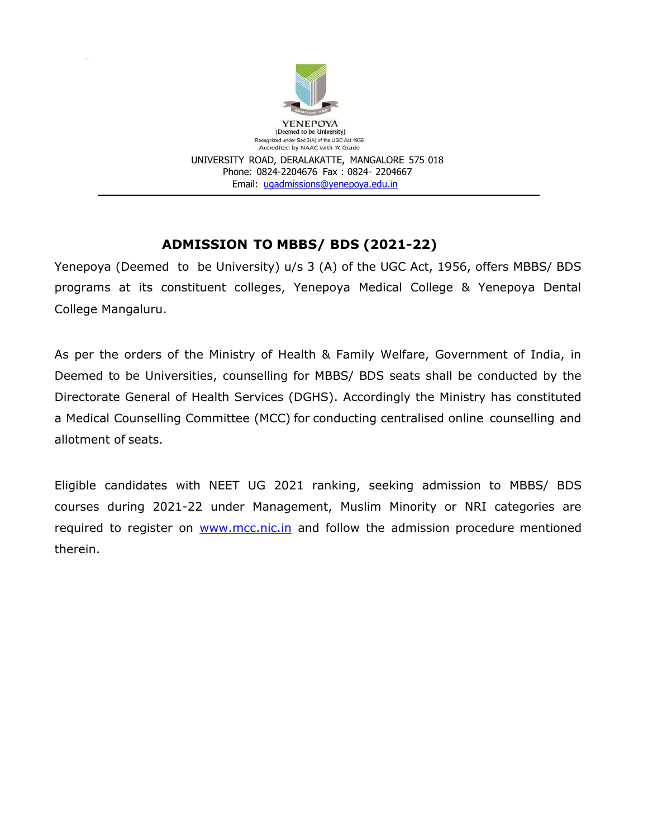

# **ADMISSION TO MBBS/ BDS (2021-22)**

Yenepoya (Deemed to be University) u/s 3 (A) of the UGC Act, 1956, offers MBBS/ BDS programs at its constituent colleges, Yenepoya Medical College & Yenepoya Dental College Mangaluru.

As per the orders of the Ministry of Health & Family Welfare, Government of India, in Deemed to be Universities, counselling for MBBS/ BDS seats shall be conducted by the Directorate General of Health Services (DGHS). Accordingly the Ministry has constituted a Medical Counselling Committee (MCC) for conducting centralised online counselling and allotment of seats.

Eligible candidates with NEET UG 2021 ranking, seeking admission to MBBS/ BDS courses during 2021-22 under Management, Muslim Minority or NRI categories are required to register on **WWW.mcc.nic.in** and follow the admission procedure mentioned therein.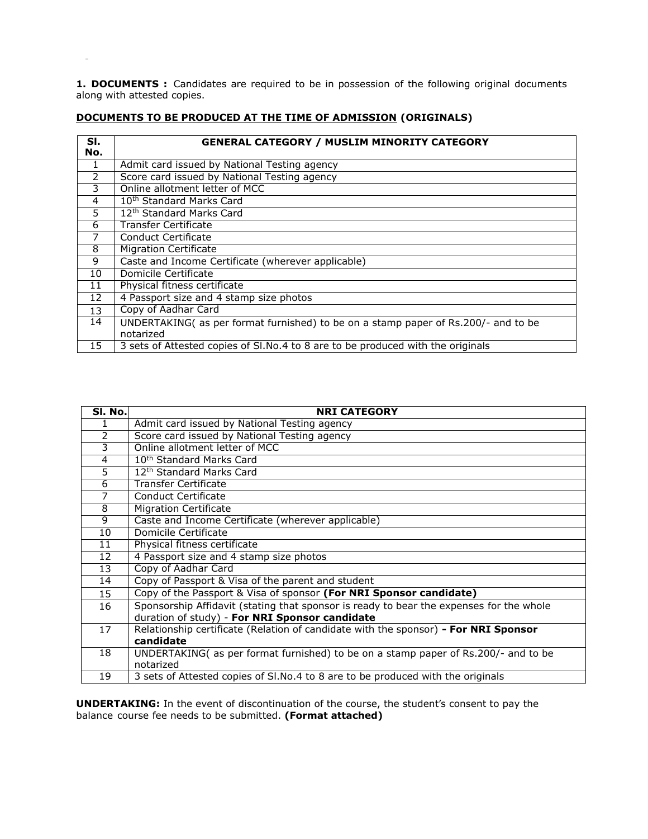**1. DOCUMENTS :** Candidates are required to be in possession of the following original documents along with attested copies.

| SI.<br>No.     | <b>GENERAL CATEGORY / MUSLIM MINORITY CATEGORY</b>                                           |
|----------------|----------------------------------------------------------------------------------------------|
| 1              | Admit card issued by National Testing agency                                                 |
| $\mathcal{P}$  | Score card issued by National Testing agency                                                 |
| 3              | Online allotment letter of MCC                                                               |
| $\overline{4}$ | 10 <sup>th</sup> Standard Marks Card                                                         |
| 5              | 12 <sup>th</sup> Standard Marks Card                                                         |
| 6              | Transfer Certificate                                                                         |
|                | Conduct Certificate                                                                          |
| 8              | <b>Migration Certificate</b>                                                                 |
| 9              | Caste and Income Certificate (wherever applicable)                                           |
| 10             | Domicile Certificate                                                                         |
| 11             | Physical fitness certificate                                                                 |
| 12             | 4 Passport size and 4 stamp size photos                                                      |
| 13             | Copy of Aadhar Card                                                                          |
| 14             | UNDERTAKING(as per format furnished) to be on a stamp paper of Rs.200/- and to be            |
| 15             | notarized<br>3 sets of Attested copies of SI.No.4 to 8 are to be produced with the originals |
|                |                                                                                              |

# **DOCUMENTS TO BE PRODUCED AT THE TIME OF ADMISSION (ORIGINALS)**

 $\blacksquare$ 

| SI. No.        | <b>NRI CATEGORY</b>                                                                     |
|----------------|-----------------------------------------------------------------------------------------|
| 1              | Admit card issued by National Testing agency                                            |
| 2              | Score card issued by National Testing agency                                            |
| 3              | Online allotment letter of MCC                                                          |
| 4              | 10 <sup>th</sup> Standard Marks Card                                                    |
| 5              | 12 <sup>th</sup> Standard Marks Card                                                    |
| $\overline{6}$ | <b>Transfer Certificate</b>                                                             |
| 7              | Conduct Certificate                                                                     |
| 8              | <b>Migration Certificate</b>                                                            |
| 9              | Caste and Income Certificate (wherever applicable)                                      |
| 10             | Domicile Certificate                                                                    |
| 11             | Physical fitness certificate                                                            |
| 12             | 4 Passport size and 4 stamp size photos                                                 |
| 13             | Copy of Aadhar Card                                                                     |
| 14             | Copy of Passport & Visa of the parent and student                                       |
| 15             | Copy of the Passport & Visa of sponsor (For NRI Sponsor candidate)                      |
| 16             | Sponsorship Affidavit (stating that sponsor is ready to bear the expenses for the whole |
|                | duration of study) - For NRI Sponsor candidate                                          |
| 17             | Relationship certificate (Relation of candidate with the sponsor) - For NRI Sponsor     |
|                | candidate                                                                               |
| 18             | UNDERTAKING( as per format furnished) to be on a stamp paper of Rs.200/- and to be      |
|                | notarized                                                                               |
| 19             | 3 sets of Attested copies of SI.No.4 to 8 are to be produced with the originals         |

**UNDERTAKING:** In the event of discontinuation of the course, the student's consent to pay the balance course fee needs to be submitted. **(Format attached)**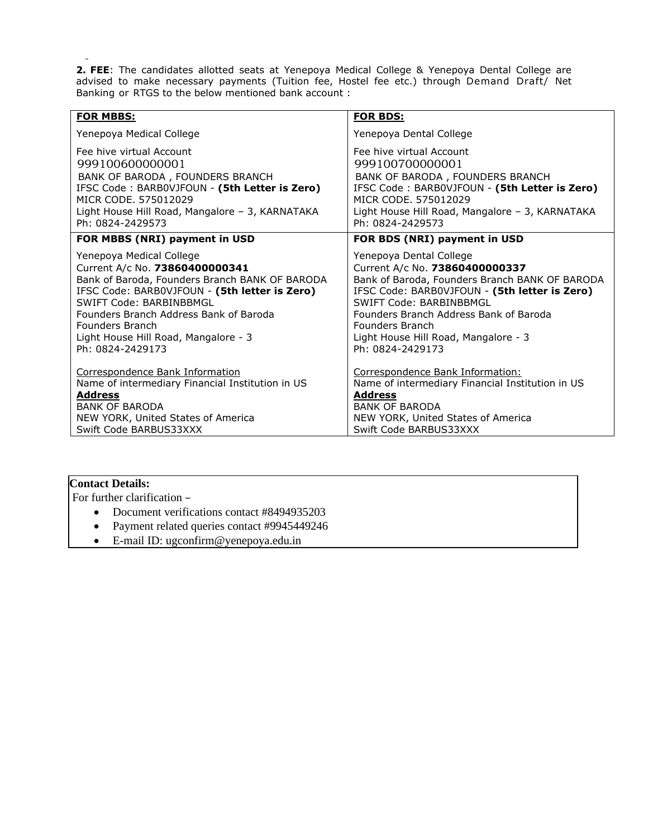**2. FEE**: The candidates allotted seats at Yenepoya Medical College & Yenepoya Dental College are advised to make necessary payments (Tuition fee, Hostel fee etc.) through Demand Draft/ Net Banking or RTGS to the below mentioned bank account :

| <b>FOR MBBS:</b>                                 | <b>FOR BDS:</b>                                  |
|--------------------------------------------------|--------------------------------------------------|
| Yenepoya Medical College                         | Yenepoya Dental College                          |
| Fee hive virtual Account                         | Fee hive virtual Account                         |
| 999100600000001                                  | 999100700000001                                  |
| BANK OF BARODA, FOUNDERS BRANCH                  | BANK OF BARODA, FOUNDERS BRANCH                  |
| IFSC Code: BARBOVJFOUN - (5th Letter is Zero)    | IFSC Code: BARBOVJFOUN - (5th Letter is Zero)    |
| MICR CODE, 575012029                             | MICR CODE, 575012029                             |
| Light House Hill Road, Mangalore - 3, KARNATAKA  | Light House Hill Road, Mangalore - 3, KARNATAKA  |
| Ph: 0824-2429573                                 | Ph: 0824-2429573                                 |
| FOR MBBS (NRI) payment in USD                    | FOR BDS (NRI) payment in USD                     |
| Yenepoya Medical College                         | Yenepoya Dental College                          |
| Current A/c No. 73860400000341                   | Current A/c No. 73860400000337                   |
| Bank of Baroda, Founders Branch BANK OF BARODA   | Bank of Baroda, Founders Branch BANK OF BARODA   |
| IFSC Code: BARB0VJFOUN - (5th letter is Zero)    | IFSC Code: BARB0VJFOUN - (5th letter is Zero)    |
| SWIFT Code: BARBINBBMGL                          | SWIFT Code: BARBINBBMGL                          |
| Founders Branch Address Bank of Baroda           | Founders Branch Address Bank of Baroda           |
| Founders Branch                                  | Founders Branch                                  |
| Light House Hill Road, Mangalore - 3             | Light House Hill Road, Mangalore - 3             |
| Ph: 0824-2429173                                 | Ph: 0824-2429173                                 |
| Correspondence Bank Information                  | Correspondence Bank Information:                 |
| Name of intermediary Financial Institution in US | Name of intermediary Financial Institution in US |
| <b>Address</b>                                   | <b>Address</b>                                   |
| <b>BANK OF BARODA</b>                            | <b>BANK OF BARODA</b>                            |
| NEW YORK, United States of America               | NEW YORK, United States of America               |
| Swift Code BARBUS33XXX                           | Swift Code BARBUS33XXX                           |

# **Contact Details:**

For further clarification –

- Document verifications contact #8494935203
- Payment related queries contact #9945449246
- E-mail ID: ugconfirm@yenepoya.edu.in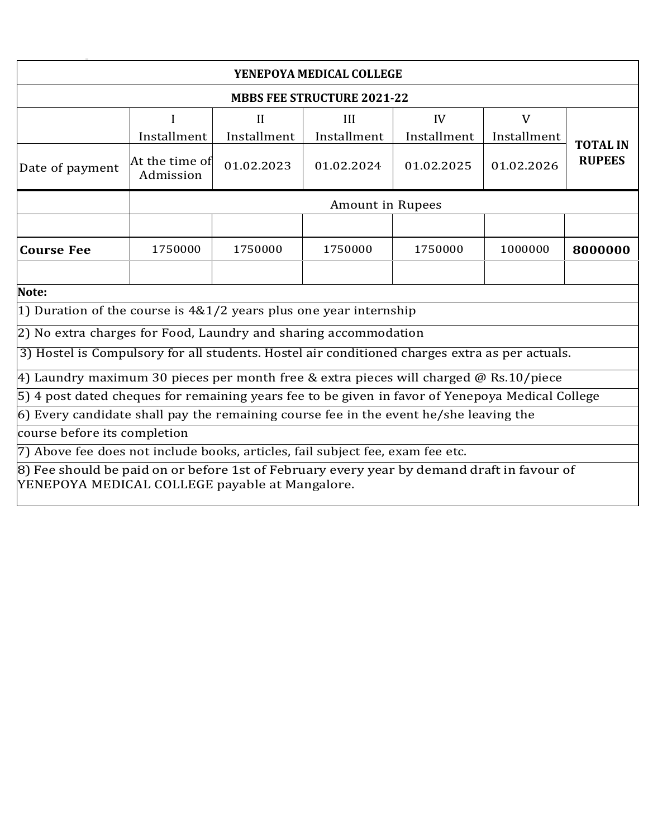| YENEPOYA MEDICAL COLLEGE                                                                         |                                                         |              |            |            |                                  |         |  |  |
|--------------------------------------------------------------------------------------------------|---------------------------------------------------------|--------------|------------|------------|----------------------------------|---------|--|--|
| <b>MBBS FEE STRUCTURE 2021-22</b>                                                                |                                                         |              |            |            |                                  |         |  |  |
|                                                                                                  |                                                         | $\mathbf{H}$ | III        | IV         | V                                |         |  |  |
| Installment<br>Installment<br>Installment<br>Installment<br>Installment                          |                                                         |              |            |            |                                  |         |  |  |
| Date of payment                                                                                  | At the time of<br>01.02.2023<br>01.02.2024<br>Admission |              | 01.02.2025 | 01.02.2026 | <b>TOTAL IN</b><br><b>RUPEES</b> |         |  |  |
| Amount in Rupees                                                                                 |                                                         |              |            |            |                                  |         |  |  |
|                                                                                                  |                                                         |              |            |            |                                  |         |  |  |
| <b>Course Fee</b>                                                                                | 1750000                                                 | 1750000      | 1750000    | 1750000    | 1000000                          | 8000000 |  |  |
|                                                                                                  |                                                         |              |            |            |                                  |         |  |  |
| Note:                                                                                            |                                                         |              |            |            |                                  |         |  |  |
| 1) Duration of the course is $4&1/2$ years plus one year internship                              |                                                         |              |            |            |                                  |         |  |  |
| 2) No extra charges for Food, Laundry and sharing accommodation                                  |                                                         |              |            |            |                                  |         |  |  |
| 3) Hostel is Compulsory for all students. Hostel air conditioned charges extra as per actuals.   |                                                         |              |            |            |                                  |         |  |  |
| 4) Laundry maximum 30 pieces per month free & extra pieces will charged @ Rs.10/piece            |                                                         |              |            |            |                                  |         |  |  |
| 5) 4 post dated cheques for remaining years fee to be given in favor of Yenepoya Medical College |                                                         |              |            |            |                                  |         |  |  |
| $6$ ) Every candidate shall pay the remaining course fee in the event he/she leaving the         |                                                         |              |            |            |                                  |         |  |  |
| course before its completion                                                                     |                                                         |              |            |            |                                  |         |  |  |
| [7] Above fee does not include books, articles, fail subject fee, exam fee etc.                  |                                                         |              |            |            |                                  |         |  |  |
| 8) Fee should be naid on or before 1st of February every year by demand draft in favour of       |                                                         |              |            |            |                                  |         |  |  |

8) Fee should be paid on or before 1st of February every year by demand draft in favour of YENEPOYA MEDICAL COLLEGE payable at Mangalore.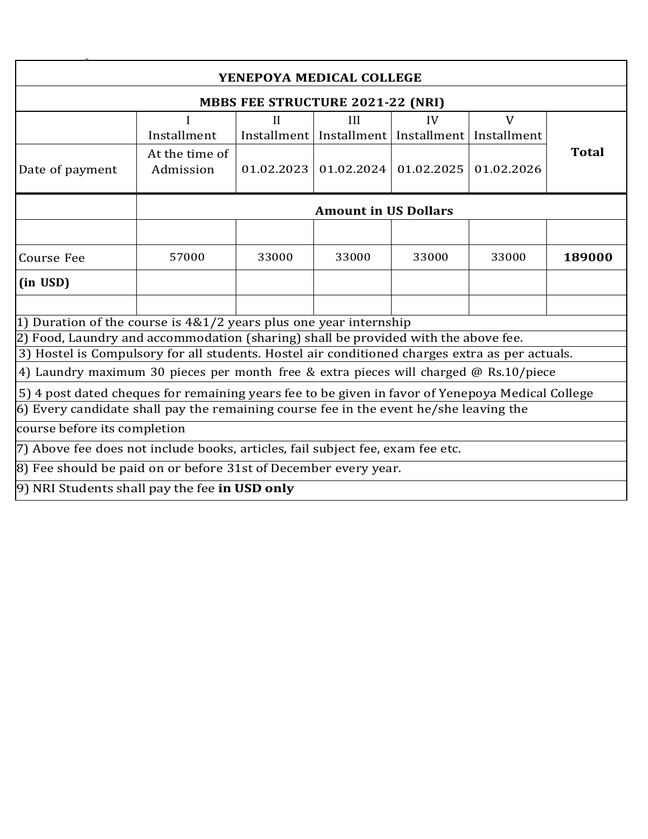| YENEPOYA MEDICAL COLLEGE                                                                         |                                         |              |                                                       |            |              |              |  |  |
|--------------------------------------------------------------------------------------------------|-----------------------------------------|--------------|-------------------------------------------------------|------------|--------------|--------------|--|--|
|                                                                                                  | <b>MBBS FEE STRUCTURE 2021-22 (NRI)</b> |              |                                                       |            |              |              |  |  |
|                                                                                                  |                                         | $\mathbf{H}$ | III                                                   | IV         | $\mathbf{V}$ |              |  |  |
|                                                                                                  | Installment                             |              | Installment   Installment   Installment   Installment |            |              |              |  |  |
|                                                                                                  | At the time of                          |              |                                                       |            |              | <b>Total</b> |  |  |
| Date of payment                                                                                  | Admission                               | 01.02.2023   | 01.02.2024                                            | 01.02.2025 | 01.02.2026   |              |  |  |
| <b>Amount in US Dollars</b>                                                                      |                                         |              |                                                       |            |              |              |  |  |
|                                                                                                  |                                         |              |                                                       |            |              |              |  |  |
| <b>Course Fee</b>                                                                                | 57000                                   | 33000        | 33000                                                 | 33000      | 33000        | 189000       |  |  |
| (in USD)                                                                                         |                                         |              |                                                       |            |              |              |  |  |
|                                                                                                  |                                         |              |                                                       |            |              |              |  |  |
| 1) Duration of the course is $4&1/2$ years plus one year internship                              |                                         |              |                                                       |            |              |              |  |  |
| 2) Food, Laundry and accommodation (sharing) shall be provided with the above fee.               |                                         |              |                                                       |            |              |              |  |  |
| 3) Hostel is Compulsory for all students. Hostel air conditioned charges extra as per actuals.   |                                         |              |                                                       |            |              |              |  |  |
| 4) Laundry maximum 30 pieces per month free & extra pieces will charged @ Rs.10/piece            |                                         |              |                                                       |            |              |              |  |  |
| 5) 4 post dated cheques for remaining years fee to be given in favor of Yenepoya Medical College |                                         |              |                                                       |            |              |              |  |  |
| $6$ ) Every candidate shall pay the remaining course fee in the event he/she leaving the         |                                         |              |                                                       |            |              |              |  |  |
| course before its completion                                                                     |                                         |              |                                                       |            |              |              |  |  |
| 7) Above fee does not include books, articles, fail subject fee, exam fee etc.                   |                                         |              |                                                       |            |              |              |  |  |
| 8) Fee should be paid on or before 31st of December every year.                                  |                                         |              |                                                       |            |              |              |  |  |
| 9) NRI Students shall pay the fee in USD only                                                    |                                         |              |                                                       |            |              |              |  |  |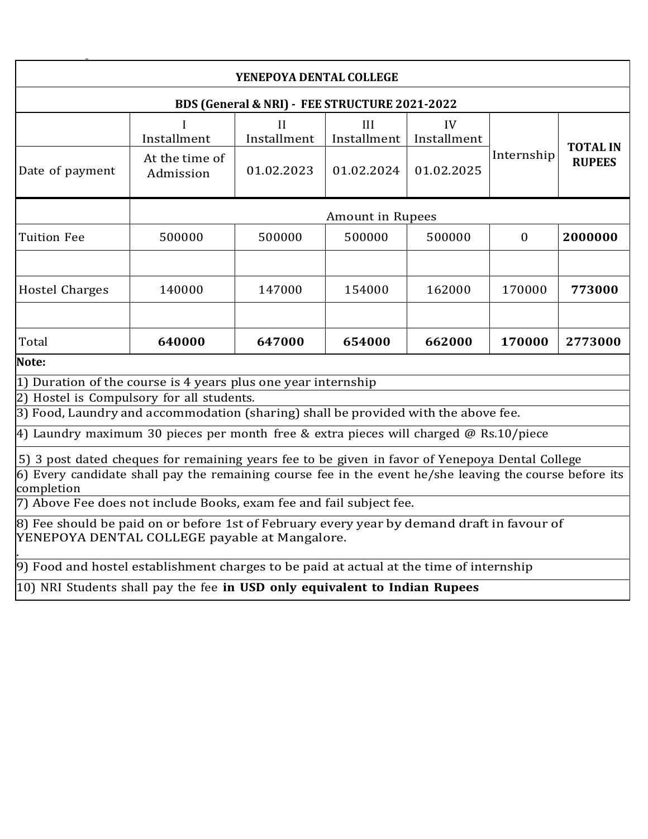| YENEPOYA DENTAL COLLEGE                                                                                                                                                                                                                                                                            |                             |                  |                         |                   |            |                 |
|----------------------------------------------------------------------------------------------------------------------------------------------------------------------------------------------------------------------------------------------------------------------------------------------------|-----------------------------|------------------|-------------------------|-------------------|------------|-----------------|
| BDS (General & NRI) - FEE STRUCTURE 2021-2022                                                                                                                                                                                                                                                      |                             |                  |                         |                   |            |                 |
|                                                                                                                                                                                                                                                                                                    | Installment                 | Н<br>Installment | Ш<br>Installment        | IV<br>Installment |            | <b>TOTAL IN</b> |
| Date of payment                                                                                                                                                                                                                                                                                    | At the time of<br>Admission | 01.02.2023       | 01.02.2024              | 01.02.2025        | Internship | <b>RUPEES</b>   |
|                                                                                                                                                                                                                                                                                                    |                             |                  | <b>Amount in Rupees</b> |                   |            |                 |
| 500000<br>500000<br>500000<br>500000<br>2000000<br><b>Tuition Fee</b><br>$\mathbf{0}$                                                                                                                                                                                                              |                             |                  |                         |                   |            |                 |
| <b>Hostel Charges</b>                                                                                                                                                                                                                                                                              | 140000                      | 147000           | 154000                  | 162000            | 170000     | 773000          |
| Total                                                                                                                                                                                                                                                                                              | 640000                      | 647000           | 654000                  | 662000            | 170000     | 2773000         |
| Note:                                                                                                                                                                                                                                                                                              |                             |                  |                         |                   |            |                 |
| 1) Duration of the course is 4 years plus one year internship<br>2) Hostel is Compulsory for all students.                                                                                                                                                                                         |                             |                  |                         |                   |            |                 |
| 3) Food, Laundry and accommodation (sharing) shall be provided with the above fee.                                                                                                                                                                                                                 |                             |                  |                         |                   |            |                 |
| 4) Laundry maximum 30 pieces per month free & extra pieces will charged @ Rs.10/piece                                                                                                                                                                                                              |                             |                  |                         |                   |            |                 |
| 5) 3 post dated cheques for remaining years fee to be given in favor of Yenepoya Dental College<br>$6$ ) Every candidate shall pay the remaining course fee in the event he/she leaving the course before its<br>completion<br>7) Above Fee does not include Books, exam fee and fail subject fee. |                             |                  |                         |                   |            |                 |
| 8) Fee should be paid on or before 1st of February every year by demand draft in favour of<br>YENEPOYA DENTAL COLLEGE payable at Mangalore.                                                                                                                                                        |                             |                  |                         |                   |            |                 |
| 9) Food and hostel establishment charges to be paid at actual at the time of internship                                                                                                                                                                                                            |                             |                  |                         |                   |            |                 |
| 10) NRI Students shall pay the fee in USD only equivalent to Indian Rupees                                                                                                                                                                                                                         |                             |                  |                         |                   |            |                 |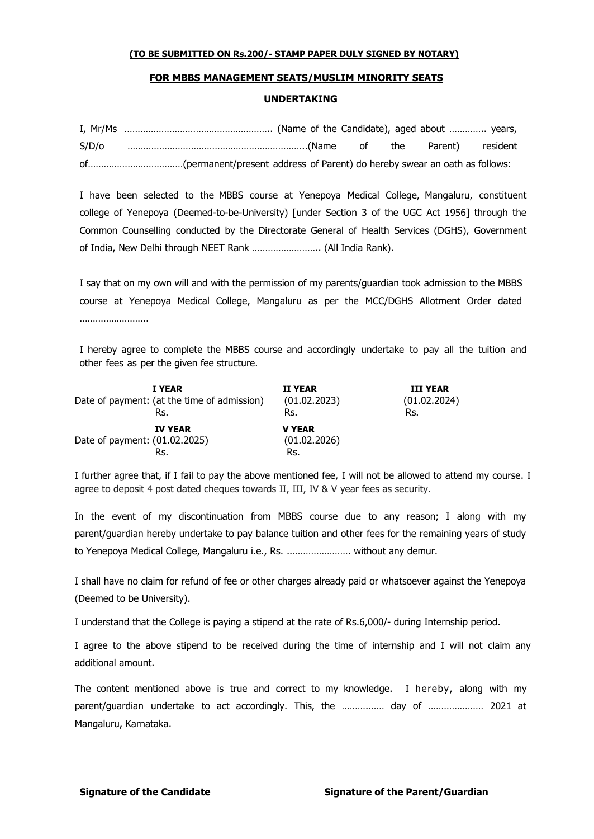### **FOR MBBS MANAGEMENT SEATS/MUSLIM MINORITY SEATS**

#### **UNDERTAKING**

| S/D/O |  |  |  |  |
|-------|--|--|--|--|
|       |  |  |  |  |

I have been selected to the MBBS course at Yenepoya Medical College, Mangaluru, constituent college of Yenepoya (Deemed-to-be-University) [under Section 3 of the UGC Act 1956] through the Common Counselling conducted by the Directorate General of Health Services (DGHS), Government of India, New Delhi through NEET Rank …………………….. (All India Rank).

I say that on my own will and with the permission of my parents/guardian took admission to the MBBS course at Yenepoya Medical College, Mangaluru as per the MCC/DGHS Allotment Order dated …………………………

I hereby agree to complete the MBBS course and accordingly undertake to pay all the tuition and other fees as per the given fee structure.

|                               | I YEAR                                      | <b>II YEAR</b> | <b>III YEAR</b> |
|-------------------------------|---------------------------------------------|----------------|-----------------|
|                               | Date of payment: (at the time of admission) | (01.02.2023)   | (01.02.2024)    |
|                               | Rs.                                         | Rs.            | Rs.             |
|                               | <b>IV YEAR</b>                              | <b>V YEAR</b>  |                 |
| Date of payment: (01.02.2025) |                                             | (01.02.2026)   |                 |
|                               | Rs.                                         | Rs.            |                 |

I further agree that, if I fail to pay the above mentioned fee, I will not be allowed to attend my course. I agree to deposit 4 post dated cheques towards II, III, IV & V year fees as security.

In the event of my discontinuation from MBBS course due to any reason; I along with my parent/guardian hereby undertake to pay balance tuition and other fees for the remaining years of study to Yenepoya Medical College, Mangaluru i.e., Rs. ..…………………. without any demur.

I shall have no claim for refund of fee or other charges already paid or whatsoever against the Yenepoya (Deemed to be University).

I understand that the College is paying a stipend at the rate of Rs.6,000/- during Internship period.

I agree to the above stipend to be received during the time of internship and I will not claim any additional amount.

The content mentioned above is true and correct to my knowledge. I hereby, along with my parent/guardian undertake to act accordingly. This, the ……….…… day of ………………… 2021 at Mangaluru, Karnataka.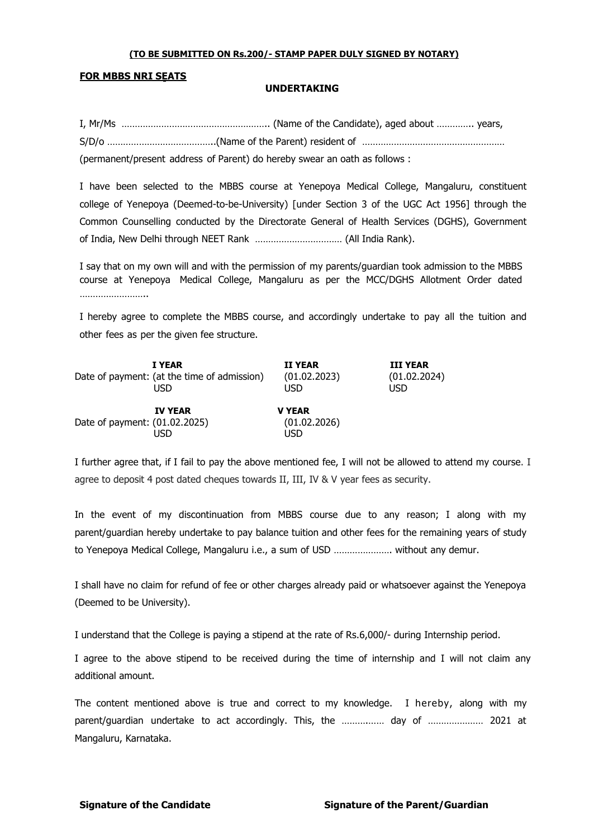### **FOR MBBS NRI SEATS**

#### **UNDERTAKING**

I, Mr/Ms ……………………………………………….. (Name of the Candidate), aged about ………….. years, S/D/o …………………………………..(Name of the Parent) resident of ……………………………………………… (permanent/present address of Parent) do hereby swear an oath as follows :

I have been selected to the MBBS course at Yenepoya Medical College, Mangaluru, constituent college of Yenepoya (Deemed-to-be-University) [under Section 3 of the UGC Act 1956] through the Common Counselling conducted by the Directorate General of Health Services (DGHS), Government of India, New Delhi through NEET Rank …………………………… (All India Rank).

I say that on my own will and with the permission of my parents/guardian took admission to the MBBS course at Yenepoya Medical College, Mangaluru as per the MCC/DGHS Allotment Order dated …………………………

I hereby agree to complete the MBBS course, and accordingly undertake to pay all the tuition and other fees as per the given fee structure.

|                               | <b>I YEAR</b>                               | <b>II YEAR</b>                       | <b>III YEAR</b> |
|-------------------------------|---------------------------------------------|--------------------------------------|-----------------|
|                               | Date of payment: (at the time of admission) | (01.02.2023)                         | (01.02.2024)    |
|                               | USD                                         | USD                                  | USD             |
| Date of payment: (01.02.2025) | <b>IV YEAR</b><br>USD                       | <b>V YEAR</b><br>(01.02.2026)<br>USD |                 |

I further agree that, if I fail to pay the above mentioned fee, I will not be allowed to attend my course. I agree to deposit 4 post dated cheques towards II, III, IV & V year fees as security.

In the event of my discontinuation from MBBS course due to any reason; I along with my parent/guardian hereby undertake to pay balance tuition and other fees for the remaining years of study to Yenepoya Medical College, Mangaluru i.e., a sum of USD …………………. without any demur.

I shall have no claim for refund of fee or other charges already paid or whatsoever against the Yenepoya (Deemed to be University).

I understand that the College is paying a stipend at the rate of Rs.6,000/- during Internship period.

I agree to the above stipend to be received during the time of internship and I will not claim any additional amount.

The content mentioned above is true and correct to my knowledge. I hereby, along with my parent/guardian undertake to act accordingly. This, the ……….…… day of ………………… 2021 at Mangaluru, Karnataka.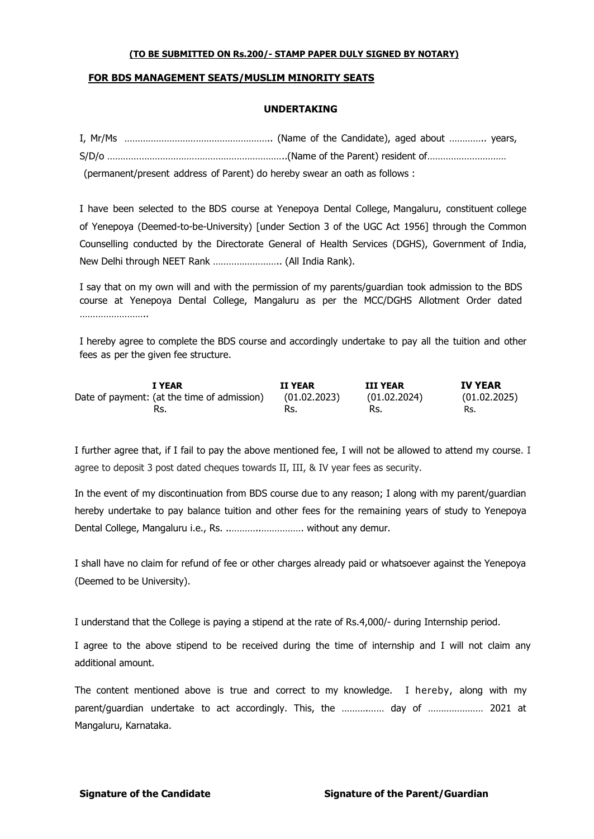## **FOR BDS MANAGEMENT SEATS/MUSLIM MINORITY SEATS**

#### **UNDERTAKING**

| (permanent/present address of Parent) do hereby swear an oath as follows : |
|----------------------------------------------------------------------------|

I have been selected to the BDS course at Yenepoya Dental College, Mangaluru, constituent college of Yenepoya (Deemed-to-be-University) [under Section 3 of the UGC Act 1956] through the Common Counselling conducted by the Directorate General of Health Services (DGHS), Government of India, New Delhi through NEET Rank …………………….. (All India Rank).

I say that on my own will and with the permission of my parents/guardian took admission to the BDS course at Yenepoya Dental College, Mangaluru as per the MCC/DGHS Allotment Order dated …………………………

I hereby agree to complete the BDS course and accordingly undertake to pay all the tuition and other fees as per the given fee structure.

| <b>I YEAR</b>                               | <b>II YEAR</b> | <b>III YEAR</b> | <b>IV YEAR</b> |
|---------------------------------------------|----------------|-----------------|----------------|
| Date of payment: (at the time of admission) | (01.02.2023)   | (01.02.2024)    | (01.02.2025)   |
|                                             | Rs.            | Rs.             | Rs.            |

I further agree that, if I fail to pay the above mentioned fee, I will not be allowed to attend my course. I agree to deposit 3 post dated cheques towards II, III, & IV year fees as security.

In the event of my discontinuation from BDS course due to any reason; I along with my parent/guardian hereby undertake to pay balance tuition and other fees for the remaining years of study to Yenepoya Dental College, Mangaluru i.e., Rs. ..………..……………. without any demur.

I shall have no claim for refund of fee or other charges already paid or whatsoever against the Yenepoya (Deemed to be University).

I understand that the College is paying a stipend at the rate of Rs.4,000/- during Internship period.

I agree to the above stipend to be received during the time of internship and I will not claim any additional amount.

The content mentioned above is true and correct to my knowledge. I hereby, along with my parent/guardian undertake to act accordingly. This, the ................. day of ..................... 2021 at Mangaluru, Karnataka.